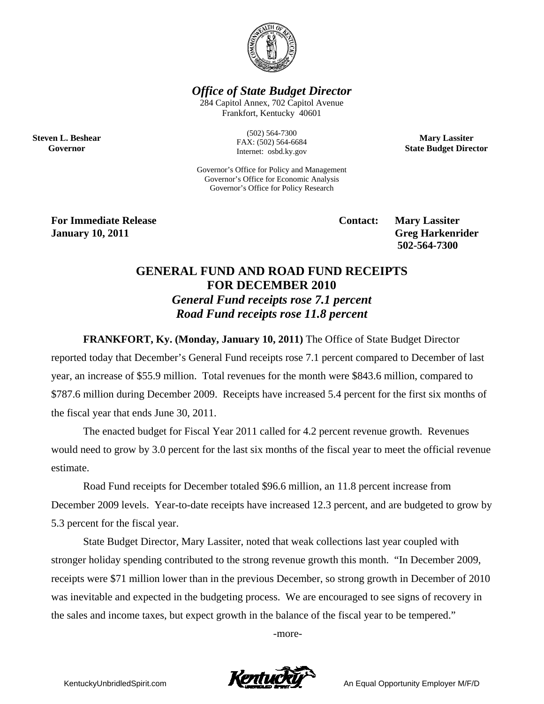

*Office of State Budget Director* 

284 Capitol Annex, 702 Capitol Avenue Frankfort, Kentucky 40601

> (502) 564-7300 FAX: (502) 564-6684 Internet: osbd.ky.gov

**Mary Lassiter State Budget Director** 

Governor's Office for Policy and Management Governor's Office for Economic Analysis Governor's Office for Policy Research

**For Immediate Release Service Service Service Contact: Mary Lassiter January 10, 2011** Greg Harkenrider **Greg Harkenrider Greg Harkenrider Greg Harkenrider** 

**Steven L. Beshear Governor** 

 **502-564-7300** 

## **GENERAL FUND AND ROAD FUND RECEIPTS FOR DECEMBER 2010**  *General Fund receipts rose 7.1 percent Road Fund receipts rose 11.8 percent*

**FRANKFORT, Ky. (Monday, January 10, 2011)** The Office of State Budget Director

reported today that December's General Fund receipts rose 7.1 percent compared to December of last year, an increase of \$55.9 million. Total revenues for the month were \$843.6 million, compared to \$787.6 million during December 2009. Receipts have increased 5.4 percent for the first six months of the fiscal year that ends June 30, 2011.

The enacted budget for Fiscal Year 2011 called for 4.2 percent revenue growth. Revenues would need to grow by 3.0 percent for the last six months of the fiscal year to meet the official revenue estimate.

Road Fund receipts for December totaled \$96.6 million, an 11.8 percent increase from December 2009 levels. Year-to-date receipts have increased 12.3 percent, and are budgeted to grow by 5.3 percent for the fiscal year.

State Budget Director, Mary Lassiter, noted that weak collections last year coupled with stronger holiday spending contributed to the strong revenue growth this month. "In December 2009, receipts were \$71 million lower than in the previous December, so strong growth in December of 2010 was inevitable and expected in the budgeting process. We are encouraged to see signs of recovery in the sales and income taxes, but expect growth in the balance of the fiscal year to be tempered."

-more-

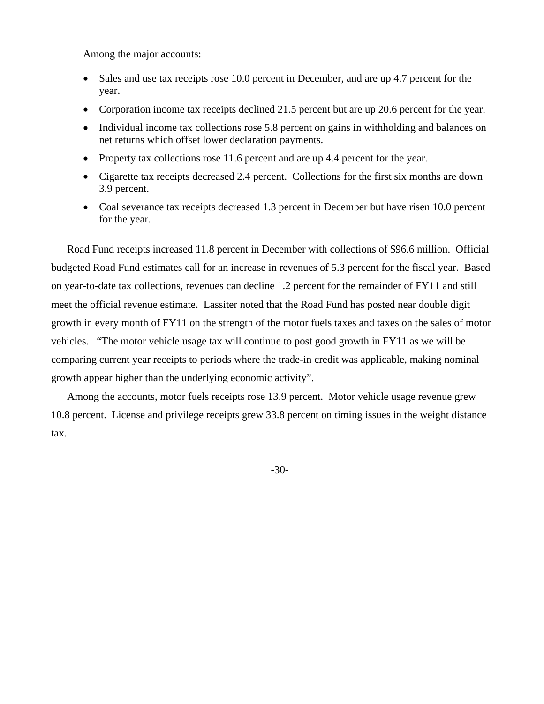Among the major accounts:

- Sales and use tax receipts rose 10.0 percent in December, and are up 4.7 percent for the year.
- Corporation income tax receipts declined 21.5 percent but are up 20.6 percent for the year.
- Individual income tax collections rose 5.8 percent on gains in withholding and balances on net returns which offset lower declaration payments.
- Property tax collections rose 11.6 percent and are up 4.4 percent for the year.
- Cigarette tax receipts decreased 2.4 percent. Collections for the first six months are down 3.9 percent.
- Coal severance tax receipts decreased 1.3 percent in December but have risen 10.0 percent for the year.

Road Fund receipts increased 11.8 percent in December with collections of \$96.6 million. Official budgeted Road Fund estimates call for an increase in revenues of 5.3 percent for the fiscal year. Based on year-to-date tax collections, revenues can decline 1.2 percent for the remainder of FY11 and still meet the official revenue estimate. Lassiter noted that the Road Fund has posted near double digit growth in every month of FY11 on the strength of the motor fuels taxes and taxes on the sales of motor vehicles. "The motor vehicle usage tax will continue to post good growth in FY11 as we will be comparing current year receipts to periods where the trade-in credit was applicable, making nominal growth appear higher than the underlying economic activity".

Among the accounts, motor fuels receipts rose 13.9 percent. Motor vehicle usage revenue grew 10.8 percent. License and privilege receipts grew 33.8 percent on timing issues in the weight distance tax.

-30-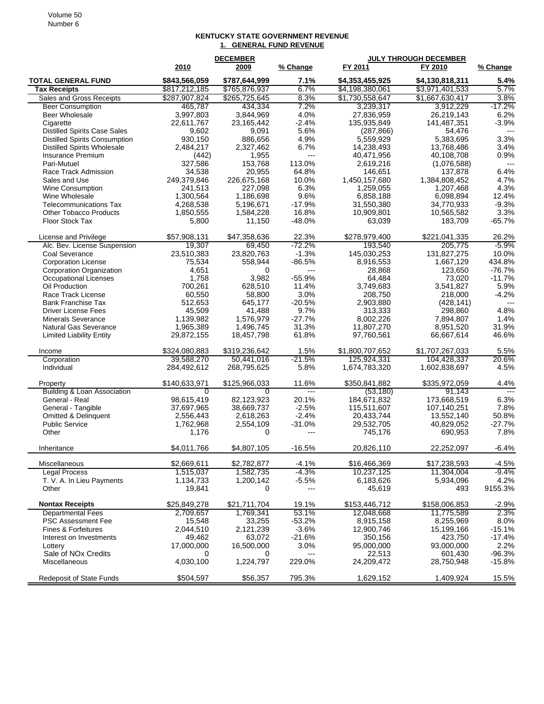## **KENTUCKY STATE GOVERNMENT REVENUE 1. GENERAL FUND REVENUE**

|                                                          | <b>DECEMBER</b>     |                     |                          | <b>JULY THROUGH DECEMBER</b> |                         |                          |
|----------------------------------------------------------|---------------------|---------------------|--------------------------|------------------------------|-------------------------|--------------------------|
|                                                          | 2010                | 2009                | % Change                 | FY 2011                      | FY 2010                 | % Change                 |
| <b>TOTAL GENERAL FUND</b>                                | \$843,566,059       | \$787,644,999       | 7.1%                     | \$4,353,455,925              | \$4,130,818,311         | 5.4%                     |
| <b>Tax Receipts</b>                                      | \$817,212,185       | \$765,876,937       | 6.7%                     | \$4,198,380,061              | \$3,971,401,533         | 5.7%                     |
| Sales and Gross Receipts                                 | \$287,907,824       | \$265,725,645       | 8.3%                     | \$1,730,558,647              | \$1,667,630,417         | 3.8%                     |
| <b>Beer Consumption</b>                                  | 465,787             | 434,334             | 7.2%                     | 3,239,317                    | 3.912.229               | $-17.2%$                 |
| <b>Beer Wholesale</b>                                    | 3,997,803           | 3,844,969           | 4.0%                     | 27,836,959                   | 26,219,143              | 6.2%                     |
| Cigarette                                                | 22,611,767          | 23,165,442          | $-2.4%$                  | 135,935,849                  | 141,487,351             | $-3.9%$                  |
| <b>Distilled Spirits Case Sales</b>                      | 9,602               | 9,091               | 5.6%                     | (287, 866)                   | 54,476                  | $\overline{\phantom{a}}$ |
| <b>Distilled Spirits Consumption</b>                     | 930,150             | 886,656             | 4.9%                     | 5,559,929                    | 5,383,695               | 3.3%                     |
| <b>Distilled Spirits Wholesale</b>                       | 2,484,217           | 2,327,462           | 6.7%                     | 14,238,493                   | 13,768,486              | 3.4%                     |
| Insurance Premium                                        | (442)               | 1,955<br>153,768    | $\overline{a}$<br>113.0% | 40,471,956                   | 40,108,708              | 0.9%<br>$---$            |
| Pari-Mutuel<br>Race Track Admission                      | 327,586<br>34,538   | 20,955              | 64.8%                    | 2,619,216<br>146,651         | (1,076,588)<br>137,878  | 6.4%                     |
| Sales and Use                                            | 249,379,846         | 226,675,168         | 10.0%                    | 1.450.157.680                | 1,384,808,452           | 4.7%                     |
| <b>Wine Consumption</b>                                  | 241,513             | 227,098             | 6.3%                     | 1,259,055                    | 1,207,468               | 4.3%                     |
| Wine Wholesale                                           | 1,300,564           | 1,186,698           | 9.6%                     | 6,858,188                    | 6,098,894               | 12.4%                    |
| <b>Telecommunications Tax</b>                            | 4,268,538           | 5,196,671           | $-17.9%$                 | 31,550,380                   | 34,770,933              | $-9.3%$                  |
| <b>Other Tobacco Products</b>                            | 1,850,555           | 1,584,228           | 16.8%                    | 10,909,801                   | 10,565,582              | 3.3%                     |
| <b>Floor Stock Tax</b>                                   | 5,800               | 11,150              | $-48.0%$                 | 63,039                       | 183,709                 | $-65.7%$                 |
| License and Privilege                                    | \$57,908,131        | \$47,358,636        | 22.3%                    | \$278,979,400                | \$221,041,335           | 26.2%                    |
| Alc. Bev. License Suspension                             | 19,307              | 69,450              | $-72.2%$                 | 193,540                      | 205.775                 | $-5.9%$                  |
| Coal Severance                                           | 23,510,383          | 23,820,763          | $-1.3%$                  | 145,030,253                  | 131,827,275             | 10.0%                    |
| <b>Corporation License</b>                               | 75,534              | 558,944             | $-86.5%$                 | 8,916,553                    | 1,667,129               | 434.8%                   |
| Corporation Organization                                 | 4,651               | 0                   | $---$                    | 28,868                       | 123,650                 | $-76.7%$                 |
| <b>Occupational Licenses</b>                             | 1,758               | 3,982               | $-55.9%$                 | 64,484                       | 73,020                  | $-11.7%$                 |
| Oil Production                                           | 700,261             | 628,510             | 11.4%                    | 3,749,683                    | 3,541,827               | 5.9%                     |
| Race Track License                                       | 60,550              | 58,800              | 3.0%                     | 208.750                      | 218,000                 | $-4.2%$                  |
| <b>Bank Franchise Tax</b>                                | 512,653             | 645,177             | $-20.5%$                 | 2,903,880                    | (428, 141)              | $---$                    |
| <b>Driver License Fees</b>                               | 45,509              | 41,488              | 9.7%                     | 313,333                      | 298,860                 | 4.8%                     |
| <b>Minerals Severance</b>                                | 1,139,982           | 1,576,979           | $-27.7%$                 | 8,002,226                    | 7,894,807               | 1.4%                     |
| <b>Natural Gas Severance</b>                             | 1,965,389           | 1,496,745           | 31.3%                    | 11,807,270                   | 8,951,520               | 31.9%                    |
| <b>Limited Liability Entity</b>                          | 29,872,155          | 18,457,798          | 61.8%                    | 97,760,561                   | 66,667,614              | 46.6%                    |
| Income                                                   | \$324,080,883       | \$319,236,642       | 1.5%                     | \$1,800,707,652              | \$1,707,267,033         | 5.5%                     |
| Corporation                                              | 39,588,270          | 50,441,016          | $-21.5%$                 | 125,924,331                  | 104,428,337             | 20.6%                    |
| Individual                                               | 284,492,612         | 268,795,625         | 5.8%                     | 1,674,783,320                | 1,602,838,697           | 4.5%                     |
| Property                                                 | \$140,633,971       | \$125,966,033       | 11.6%                    | \$350,841,882                | \$335,972,059<br>91,143 | 4.4%<br>$\overline{a}$   |
| <b>Building &amp; Loan Association</b><br>General - Real | 0<br>98,615,419     | 0<br>82,123,923     | 20.1%                    | (53, 180)<br>184,671,832     | 173,668,519             | 6.3%                     |
| General - Tangible                                       | 37,697,965          | 38,669,737          | $-2.5%$                  | 115,511,607                  | 107,140,251             | 7.8%                     |
| Omitted & Delinquent                                     | 2,556,443           | 2,618,263           | $-2.4%$                  | 20,433,744                   | 13,552,140              | 50.8%                    |
| <b>Public Service</b>                                    | 1,762,968           | 2,554,109           | $-31.0%$                 | 29,532,705                   | 40,829,052              | $-27.7%$                 |
| Other                                                    | 1,176               | 0                   | $\overline{a}$           | 745,176                      | 690,953                 | 7.8%                     |
|                                                          |                     |                     |                          |                              |                         |                          |
| Inheritance                                              | \$4,011,766         | \$4,807,105         | $-16.5%$                 | 20,826,110                   | 22,252,097              | -6.4%                    |
| Miscellaneous                                            | \$2,669,611         | \$2,782,877         | $-4.1%$                  | \$16,466,369                 | \$17,238,593            | $-4.5%$                  |
| <b>Legal Process</b>                                     | 1,515,037           | 1,582,735           | $-4.3%$                  | 10,237,125                   | 11,304,004              | $-9.4%$                  |
| T. V. A. In Lieu Payments                                | 1,134,733           | 1,200,142           | $-5.5%$                  | 6,183,626                    | 5,934,096               | 4.2%                     |
| Other                                                    | 19,841              | 0                   | $\overline{a}$           | 45,619                       | 493                     | 9155.3%                  |
| <b>Nontax Receipts</b>                                   | \$25,849,278        | \$21,711,704        | 19.1%                    | \$153,446,712                | \$158,006,853           | $-2.9%$                  |
| <b>Departmental Fees</b>                                 | 2,709,657           | 1,769,341           | 53.1%                    | 12,048,668                   | 11,775,589              | 2.3%                     |
| <b>PSC Assessment Fee</b>                                | 15,548              | 33,255              | $-53.2%$                 | 8,915,158                    | 8,255,969               | 8.0%<br>$-15.1%$         |
| Fines & Forfeitures<br>Interest on Investments           | 2,044,510<br>49,462 | 2,121,239<br>63,072 | $-3.6%$<br>$-21.6%$      | 12,900,746<br>350,156        | 15,199,166<br>423,750   | $-17.4%$                 |
| Lottery                                                  | 17,000,000          | 16,500,000          | 3.0%                     | 95,000,000                   | 93,000,000              | 2.2%                     |
| Sale of NO <sub>x</sub> Credits                          | 0                   | 0                   | $---$                    | 22,513                       | 601,430                 | $-96.3%$                 |
| Miscellaneous                                            | 4,030,100           | 1,224,797           | 229.0%                   | 24,209,472                   | 28,750,948              | $-15.8%$                 |
|                                                          |                     |                     |                          |                              |                         |                          |
| Redeposit of State Funds                                 | \$504,597           | \$56,357            | 795.3%                   | 1,629,152                    | 1,409,924               | 15.5%                    |